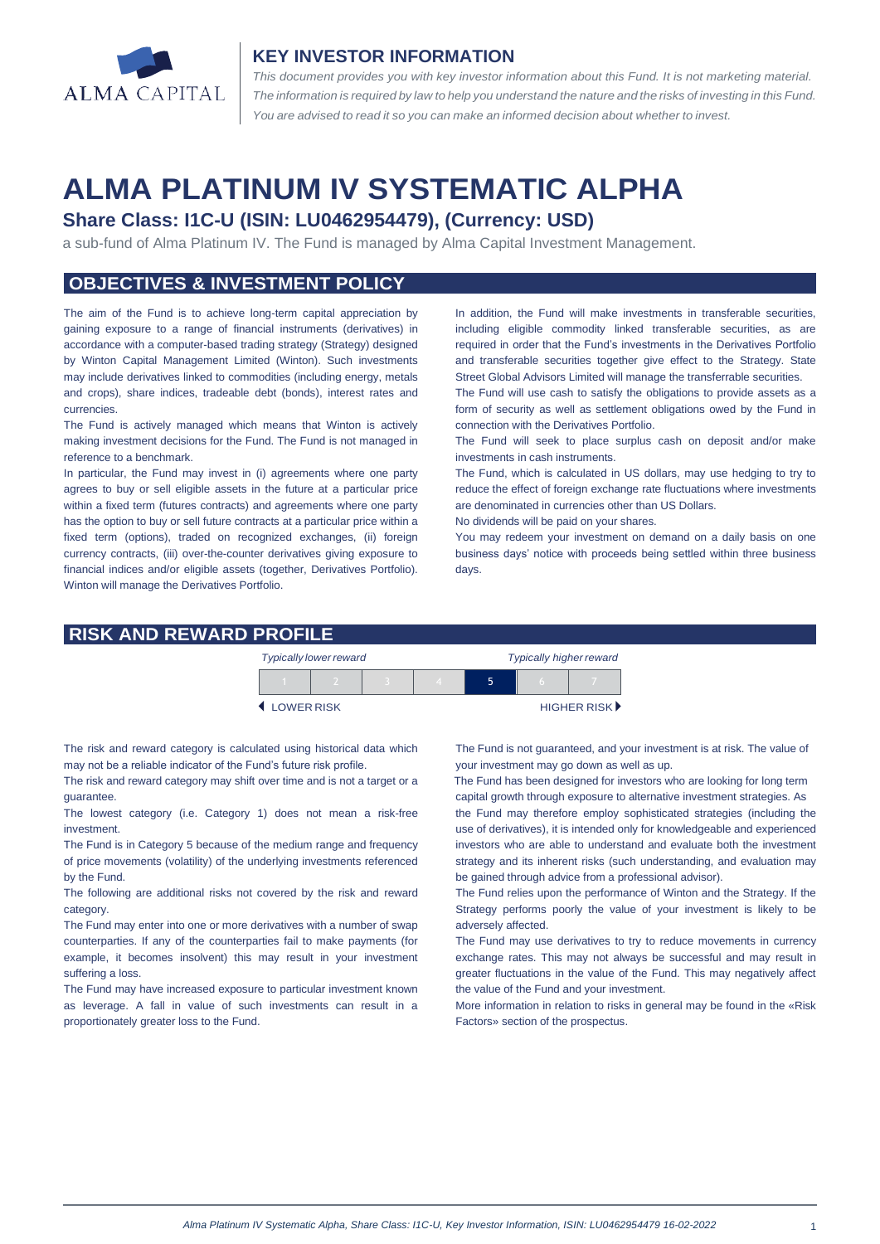

#### **KEY INVESTOR INFORMATION**

*This document provides you with key investor information about this Fund. It is not marketing material.*  The information is required by law to help you understand the nature and the risks of investing in this Fund. *You are advised to read it so you can make an informed decision about whether to invest.*

# **ALMA PLATINUM IV SYSTEMATIC ALPHA**

## **Share Class: I1C-U (ISIN: LU0462954479), (Currency: USD)**

a sub-fund of Alma Platinum IV. The Fund is managed by Alma Capital Investment Management.

## **OBJECTIVES & INVESTMENT POLICY**

The aim of the Fund is to achieve long-term capital appreciation by gaining exposure to a range of financial instruments (derivatives) in accordance with a computer-based trading strategy (Strategy) designed by Winton Capital Management Limited (Winton). Such investments may include derivatives linked to commodities (including energy, metals and crops), share indices, tradeable debt (bonds), interest rates and currencies.

The Fund is actively managed which means that Winton is actively making investment decisions for the Fund. The Fund is not managed in reference to a benchmark.

In particular, the Fund may invest in (i) agreements where one party agrees to buy or sell eligible assets in the future at a particular price within a fixed term (futures contracts) and agreements where one party has the option to buy or sell future contracts at a particular price within a fixed term (options), traded on recognized exchanges, (ii) foreign currency contracts, (iii) over-the-counter derivatives giving exposure to financial indices and/or eligible assets (together, Derivatives Portfolio). Winton will manage the Derivatives Portfolio.

In addition, the Fund will make investments in transferable securities, including eligible commodity linked transferable securities, as are required in order that the Fund's investments in the Derivatives Portfolio and transferable securities together give effect to the Strategy. State Street Global Advisors Limited will manage the transferrable securities.

The Fund will use cash to satisfy the obligations to provide assets as a form of security as well as settlement obligations owed by the Fund in connection with the Derivatives Portfolio.

The Fund will seek to place surplus cash on deposit and/or make investments in cash instruments.

The Fund, which is calculated in US dollars, may use hedging to try to reduce the effect of foreign exchange rate fluctuations where investments are denominated in currencies other than US Dollars.

No dividends will be paid on your shares.

You may redeem your investment on demand on a daily basis on one business days' notice with proceeds being settled within three business days

#### **RISK AND REWARD PROFILE**

|            | <b>Typically lower reward</b> |  | <b>Typically higher reward</b> |  |  |                             |
|------------|-------------------------------|--|--------------------------------|--|--|-----------------------------|
|            |                               |  |                                |  |  |                             |
| LOWER RISK |                               |  |                                |  |  | HIGHER RISK <sup>&gt;</sup> |

The risk and reward category is calculated using historical data which may not be a reliable indicator of the Fund's future risk profile.

The risk and reward category may shift over time and is not a target or a guarantee.

The lowest category (i.e. Category 1) does not mean a risk-free investment.

The Fund is in Category 5 because of the medium range and frequency of price movements (volatility) of the underlying investments referenced by the Fund.

The following are additional risks not covered by the risk and reward category.

The Fund may enter into one or more derivatives with a number of swap counterparties. If any of the counterparties fail to make payments (for example, it becomes insolvent) this may result in your investment suffering a loss.

The Fund may have increased exposure to particular investment known as leverage. A fall in value of such investments can result in a proportionately greater loss to the Fund.

The Fund is not guaranteed, and your investment is at risk. The value of your investment may go down as well as up.

 The Fund has been designed for investors who are looking for long term capital growth through exposure to alternative investment strategies. As

the Fund may therefore employ sophisticated strategies (including the use of derivatives), it is intended only for knowledgeable and experienced investors who are able to understand and evaluate both the investment strategy and its inherent risks (such understanding, and evaluation may be gained through advice from a professional advisor).

The Fund relies upon the performance of Winton and the Strategy. If the Strategy performs poorly the value of your investment is likely to be adversely affected.

The Fund may use derivatives to try to reduce movements in currency exchange rates. This may not always be successful and may result in greater fluctuations in the value of the Fund. This may negatively affect the value of the Fund and your investment.

More information in relation to risks in general may be found in the «Risk Factors» section of the prospectus.